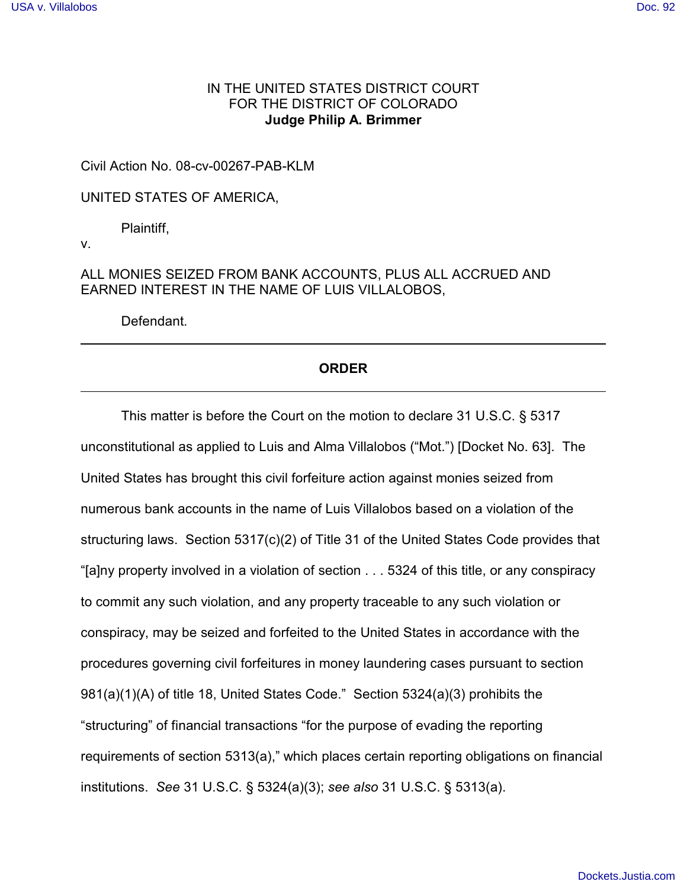## IN THE UNITED STATES DISTRICT COURT FOR THE DISTRICT OF COLORADO **Judge Philip A. Brimmer**

Civil Action No. 08-cv-00267-PAB-KLM

UNITED STATES OF AMERICA,

Plaintiff,

v.

ALL MONIES SEIZED FROM BANK ACCOUNTS, PLUS ALL ACCRUED AND EARNED INTEREST IN THE NAME OF LUIS VILLALOBOS,

Defendant.

## **ORDER**

This matter is before the Court on the motion to declare 31 U.S.C. § 5317 unconstitutional as applied to Luis and Alma Villalobos ("Mot.") [Docket No. 63]. The United States has brought this civil forfeiture action against monies seized from numerous bank accounts in the name of Luis Villalobos based on a violation of the structuring laws. Section 5317(c)(2) of Title 31 of the United States Code provides that "[a]ny property involved in a violation of section . . . 5324 of this title, or any conspiracy to commit any such violation, and any property traceable to any such violation or conspiracy, may be seized and forfeited to the United States in accordance with the procedures governing civil forfeitures in money laundering cases pursuant to section 981(a)(1)(A) of title 18, United States Code." Section 5324(a)(3) prohibits the "structuring" of financial transactions "for the purpose of evading the reporting requirements of section 5313(a)," which places certain reporting obligations on financial institutions. *See* 31 U.S.C. § 5324(a)(3); *see also* 31 U.S.C. § 5313(a).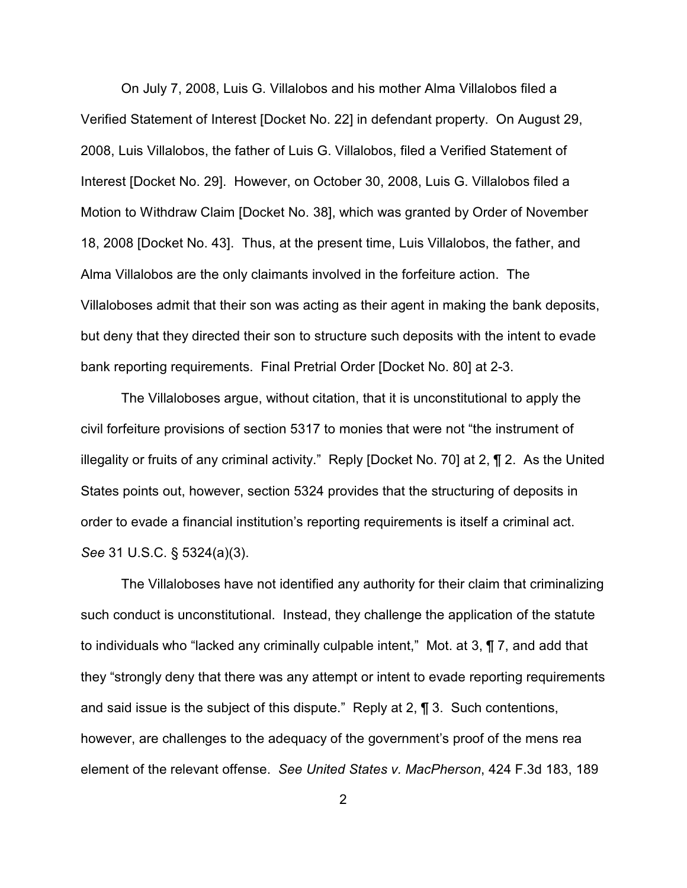On July 7, 2008, Luis G. Villalobos and his mother Alma Villalobos filed a Verified Statement of Interest [Docket No. 22] in defendant property. On August 29, 2008, Luis Villalobos, the father of Luis G. Villalobos, filed a Verified Statement of Interest [Docket No. 29]. However, on October 30, 2008, Luis G. Villalobos filed a Motion to Withdraw Claim [Docket No. 38], which was granted by Order of November 18, 2008 [Docket No. 43]. Thus, at the present time, Luis Villalobos, the father, and Alma Villalobos are the only claimants involved in the forfeiture action. The Villaloboses admit that their son was acting as their agent in making the bank deposits, but deny that they directed their son to structure such deposits with the intent to evade bank reporting requirements. Final Pretrial Order [Docket No. 80] at 2-3.

The Villaloboses argue, without citation, that it is unconstitutional to apply the civil forfeiture provisions of section 5317 to monies that were not "the instrument of illegality or fruits of any criminal activity." Reply [Docket No. 70] at 2, ¶ 2. As the United States points out, however, section 5324 provides that the structuring of deposits in order to evade a financial institution's reporting requirements is itself a criminal act. *See* 31 U.S.C. § 5324(a)(3).

The Villaloboses have not identified any authority for their claim that criminalizing such conduct is unconstitutional. Instead, they challenge the application of the statute to individuals who "lacked any criminally culpable intent," Mot. at 3, ¶ 7, and add that they "strongly deny that there was any attempt or intent to evade reporting requirements and said issue is the subject of this dispute." Reply at 2, ¶ 3. Such contentions, however, are challenges to the adequacy of the government's proof of the mens rea element of the relevant offense. *See United States v. MacPherson*, 424 F.3d 183, 189

2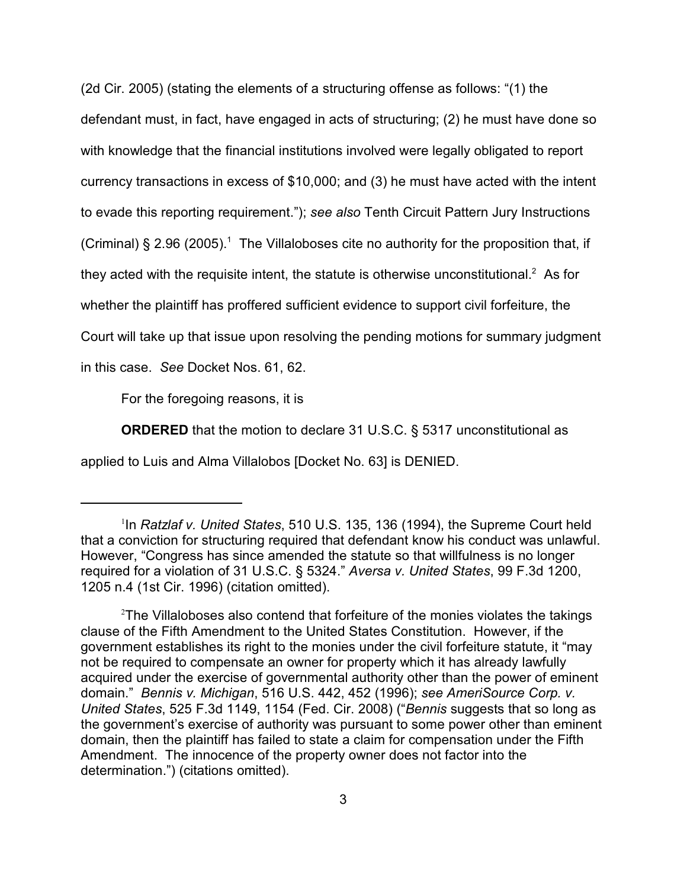(2d Cir. 2005) (stating the elements of a structuring offense as follows: "(1) the defendant must, in fact, have engaged in acts of structuring; (2) he must have done so with knowledge that the financial institutions involved were legally obligated to report currency transactions in excess of \$10,000; and (3) he must have acted with the intent to evade this reporting requirement."); *see also* Tenth Circuit Pattern Jury Instructions (Criminal) § 2.96 (2005).<sup>1</sup> The Villaloboses cite no authority for the proposition that, if they acted with the requisite intent, the statute is otherwise unconstitutional.<sup>2</sup> As for whether the plaintiff has proffered sufficient evidence to support civil forfeiture, the Court will take up that issue upon resolving the pending motions for summary judgment in this case. *See* Docket Nos. 61, 62.

For the foregoing reasons, it is

**ORDERED** that the motion to declare 31 U.S.C. § 5317 unconstitutional as

applied to Luis and Alma Villalobos [Docket No. 63] is DENIED.

<sup>&</sup>lt;sup>1</sup>In *Ratzlaf v. United States*, 510 U.S. 135, 136 (1994), the Supreme Court held that a conviction for structuring required that defendant know his conduct was unlawful. However, "Congress has since amended the statute so that willfulness is no longer required for a violation of 31 U.S.C. § 5324." *Aversa v. United States*, 99 F.3d 1200, 1205 n.4 (1st Cir. 1996) (citation omitted).

 $2$ The Villaloboses also contend that forfeiture of the monies violates the takings clause of the Fifth Amendment to the United States Constitution. However, if the government establishes its right to the monies under the civil forfeiture statute, it "may not be required to compensate an owner for property which it has already lawfully acquired under the exercise of governmental authority other than the power of eminent domain." *Bennis v. Michigan*, 516 U.S. 442, 452 (1996); *see AmeriSource Corp. v. United States*, 525 F.3d 1149, 1154 (Fed. Cir. 2008) ("*Bennis* suggests that so long as the government's exercise of authority was pursuant to some power other than eminent domain, then the plaintiff has failed to state a claim for compensation under the Fifth Amendment. The innocence of the property owner does not factor into the determination.") (citations omitted).